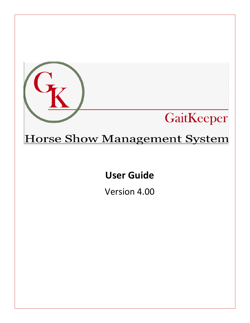

# Horse Show Management System

# User Guide

Version 4.00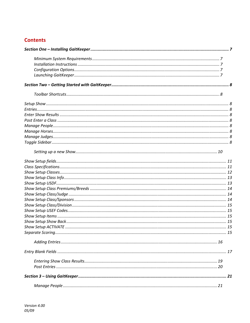# **Contents**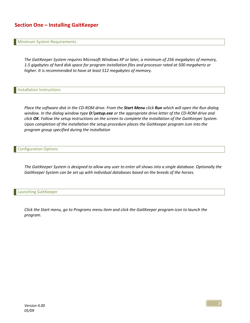# Section One – Installing GaitKeeper

#### Minimum System Requirements

The GaitKeeper System requires Microsoft Windows XP or later, a minimum of 256 megabytes of memory, 1.5 gigabytes of hard disk space for program installation files and processor rated at 500 megahertz or higher. It is recommended to have at least 512 megabytes of memory.

Installation Instructions

Place the software disk in the CD-ROM drive. From the Start Menu click Run which will open the Run dialog window. In the dialog window type  $D$ : setup.exe or the appropriate drive letter of the CD-ROM drive and click OK. Follow the setup instructions on the screen to complete the installation of the GaitKeeper System. Upon completion of the installation the setup procedure places the GaitKeeper program icon into the program group specified during the installation

#### Configuration Options

The GaitKeeper System is designed to allow any user to enter all shows into a single database. Optionally the GaitKeeper System can be set up with individual databases based on the breeds of the horses.

#### Launching GaitKeeper

Click the Start menu, go to Programs menu item and click the GaitKeeper program icon to launch the program.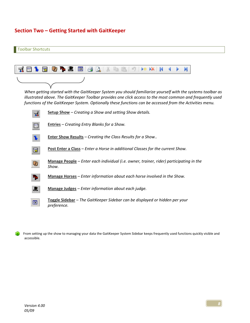# Section Two – Getting Started with GaitKeeper



From setting up the show to managing your data the GaitKeeper System Sidebar keeps frequently used functions quickly visible and accessible.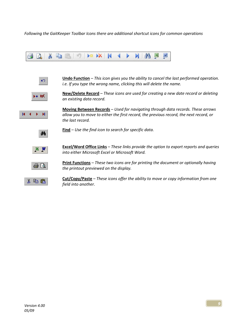Following the GaitKeeper Toolbar Icons there are additional shortcut icons for common operations





**Undo Function** – This icon gives you the ability to cancel the last performed operation. i.e. If you type the wrong name, clicking this will delete the name.



New/Delete Record - These icons are used for creating a new date record or deleting an existing data record.



Moving Between Records – Used for navigating through data records. These arrows allow you to move to either the first record, the previous record, the next record, or the last record.



 $Find - Use the find icon to search for specific data.$ 



Excel/Word Office Links – These links provide the option to export reports and queries into either Microsoft Excel or Microsoft Word.



Print Functions - These two icons are for printing the document or optionally having the printout previewed on the display.



Cut/Copy/Paste – These icons offer the ability to move or copy information from one field into another.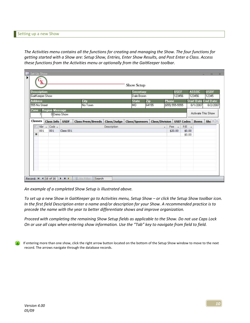The Activities menu contains all the functions for creating and managing the Show. The four functions for getting started with a Show are: Setup Show, Entries, Enter Show Results, and Post Enter a Class. Access these functions from the Activities menu or optionally from the GaitKeeper toolbar.

|                                 | <b>Description:</b> | GaitKeeper Show       |             |                          |                            | Secretary:<br>Dale Brown |              |        | <b>USEF</b><br>123456 |         | <b>ASSOC</b><br>123456                  | <b>USDF</b><br>12345 |
|---------------------------------|---------------------|-----------------------|-------------|--------------------------|----------------------------|--------------------------|--------------|--------|-----------------------|---------|-----------------------------------------|----------------------|
|                                 |                     |                       |             | City                     |                            |                          |              |        | <b>Phone</b>          |         |                                         |                      |
| <b>Address</b><br>555 No Street |                     |                       |             | No Town                  |                            | <b>State</b><br>IMO.     | Zip<br>64155 |        | $(655) 555-5555$      |         | <b>Start Date End Date:</b><br>8/1/2007 | 8/2/2007             |
| Zone                            |                     | <b>Region Message</b> |             |                          |                            |                          |              |        |                       |         |                                         |                      |
|                                 |                     |                       | 0Demo Show  |                          |                            |                          |              |        |                       |         | Activate This Show                      |                      |
| Classes                         |                     | <b>Class Info</b>     | <b>USDF</b> | <b>Class Prem/Breeds</b> | Class/Judge Class/Sponsors |                          |              |        |                       |         | <b>Class/Division USEF Codes Items</b>  | Shc <sup>4</sup>     |
|                                 |                     | $Nbr - Code -$        |             |                          | Description                |                          |              | $\sim$ | $Fee -$               | $P/E -$ |                                         |                      |
|                                 | 001                 | 001                   | Class 001   |                          |                            |                          |              |        | \$20.00               | \$0.00  |                                         |                      |
| $*$                             |                     |                       |             |                          |                            |                          |              |        |                       | \$0.00  |                                         |                      |
|                                 |                     |                       |             |                          |                            |                          |              |        |                       |         |                                         |                      |
|                                 |                     |                       |             |                          |                            |                          |              |        |                       |         |                                         |                      |
|                                 |                     |                       |             |                          |                            |                          |              |        |                       |         |                                         |                      |
|                                 |                     |                       |             |                          |                            |                          |              |        |                       |         |                                         |                      |
|                                 |                     |                       |             |                          |                            |                          |              |        |                       |         |                                         |                      |
|                                 |                     |                       |             |                          |                            |                          |              |        |                       |         |                                         |                      |
|                                 |                     |                       |             |                          |                            |                          |              |        |                       |         |                                         |                      |

An example of a completed Show Setup is illustrated above.

To set up a new Show in GaitKeeper go to Activities menu, Setup Show – or click the Setup Show toolbar icon. In the first field Description enter a name and/or description for your Show. A recommended practice is to precede the name with the year to better differentiate shows and improve organization.

Proceed with completing the remaining Show Setup fields as applicable to the Show. Do not use Caps Lock On or use all caps when entering show information. Use the "Tab" key to navigate from field to field.

If entering more than one show, click the right arrow button located on the bottom of the Setup Show window to move to the next record. The arrows navigate through the database records.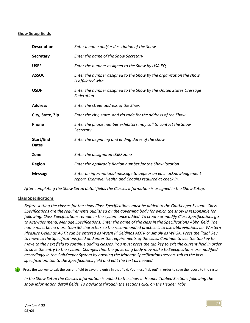## Show Setup fields

| <b>Description</b>        | Enter a name and/or description of the Show                                                                                   |
|---------------------------|-------------------------------------------------------------------------------------------------------------------------------|
| <b>Secretary</b>          | Enter the name of the Show Secretary                                                                                          |
| <b>USEF</b>               | Enter the number assigned to the Show by USA EQ                                                                               |
| <b>ASSOC</b>              | Enter the number assigned to the Show by the organization the show<br>is affiliated with                                      |
| <b>USDF</b>               | Enter the number assigned to the Show by the United States Dressage<br>Federation                                             |
| <b>Address</b>            | Enter the street address of the Show                                                                                          |
| City, State, Zip          | Enter the city, state, and zip code for the address of the Show                                                               |
| Phone                     | Enter the phone number exhibitors may call to contact the Show<br>Secretary                                                   |
| Start/End<br><b>Dates</b> | Enter the beginning and ending dates of the show                                                                              |
| Zone                      | Enter the designated USEF zone                                                                                                |
| <b>Region</b>             | Enter the applicable Region number for the Show location                                                                      |
| <b>Message</b>            | Enter an informational message to appear on each acknowledgement<br>report. Example: Health and Coggins required at check in. |

After completing the Show Setup detail fields the Classes information is assigned in the Show Setup.

## Class Specifications

Before setting the classes for the show Class Specifications must be added to the GaitKeeper System. Class Specifications are the requirements published by the governing body for which the show is responsible for following. Class Specifications remain in the system once added. To create or modify Class Specifications go to Activities menu, Manage Specifications. Enter the name of the class in the Specifications Abbr. field. The name must be no more than 50 characters so the recommended practice is to use abbreviations i.e. Western Pleasure Geldings AOTR can be entered as Wstrn Pl Geldings AOTR or simply as WPGA. Press the "tab" key to move to the Specifications field and enter the requirements of the class. Continue to use the tab key to move to the next field to continue adding classes. You must press the tab key to exit the current field in order to save the entry to the system. Changes that the governing body may make to Specifications are modified accordingly in the GaitKeeper System by opening the Manage Specifications screen, tab to the lass specification, tab to the Specifications field and edit the text as needed.

Press the tab key to exit the current field to save the entry in that field. You must "tab out" in order to save the record to the system.

In the Show Setup the Classes information is added to the show in Header Tabbed Sections following the show information detail fields. To navigate through the sections click on the Header Tabs.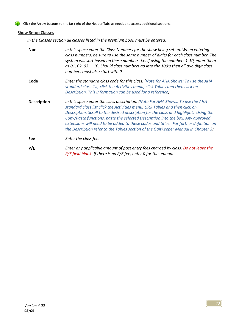Click the Arrow buttons to the far right of the Header Tabs as needed to access additional sections.

## **Show Setup Classes**

In the Classes section all classes listed in the premium book must be entered.

| <b>Nbr</b>         | In this space enter the Class Numbers for the show being set up. When entering<br>class numbers, be sure to use the same number of digits for each class number. The<br>system will sort based on these numbers. i.e. If using the numbers 1-10, enter them<br>as 01, 02, 03.10. Should class numbers go into the 100's then all two digit class<br>numbers must also start with 0.                                                                                                                                         |
|--------------------|-----------------------------------------------------------------------------------------------------------------------------------------------------------------------------------------------------------------------------------------------------------------------------------------------------------------------------------------------------------------------------------------------------------------------------------------------------------------------------------------------------------------------------|
| Code               | Enter the standard class code for this class. (Note for AHA Shows: To use the AHA<br>standard class list, click the Activities menu, click Tables and then click on<br>Description. This information can be used for a reference).                                                                                                                                                                                                                                                                                          |
| <b>Description</b> | In this space enter the class description. (Note For AHA Shows: To use the AHA<br>standard class list click the Activities menu, click Tables and then click on<br>Description. Scroll to the desired description for the class and highlight. Using the<br>Copy/Paste functions, paste the selected Description into the box. Any approved<br>extensions will need to be added to these codes and titles. For further definition on<br>the Description refer to the Tables section of the GaitKeeper Manual in Chapter 3). |
| Fee                | Enter the class fee.                                                                                                                                                                                                                                                                                                                                                                                                                                                                                                        |
| P/E                | Enter any applicable amount of post entry fees charged by class. Do not leave the<br>$P/E$ field blank. If there is no P/E fee, enter 0 for the amount.                                                                                                                                                                                                                                                                                                                                                                     |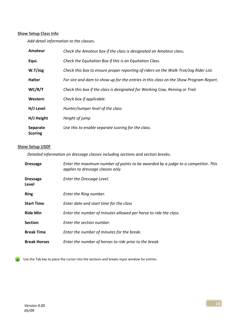## **Show Setup Class Info**

Add detail information to the classes.

| Amateur                    | Check the Amateur box if the class is designated an Amateur class.                    |
|----------------------------|---------------------------------------------------------------------------------------|
| Equi.                      | Check the Equitation Box if this is an Equitation Class.                              |
| W.T/log                    | Check this box to ensure proper reporting of riders on the Walk-Trot/Jog Rider List.  |
| <b>Halter</b>              | For sire and dam to show up for the entries in this class on the Show Program Report. |
| WC/R/T                     | Check this box if the class is designated for Working Cow, Reining or Trail.          |
| Western                    | Check box if applicable.                                                              |
| H/J Level                  | Hunter/Jumper level of the class                                                      |
| H/J Height                 | Height of jump                                                                        |
| Separate<br><b>Scoring</b> | Use this to enable separate scoring for the class.                                    |

## Show Setup USDF

Detailed information on dressage classes including sections and section breaks.

| <b>Dressage</b>          | Enter the maximum number of points to be awarded by a judge to a competitor. This<br>applies to dressage classes only. |
|--------------------------|------------------------------------------------------------------------------------------------------------------------|
| <b>Dressage</b><br>Level | Enter the Dressage Level.                                                                                              |
| <b>Ring</b>              | Enter the Ring number.                                                                                                 |
| <b>Start Time</b>        | Enter date and start time for the class                                                                                |
| <b>Ride Min</b>          | Enter the number of minutes allowed per horse to ride the class.                                                       |
| <b>Section</b>           | Enter the section number.                                                                                              |
| <b>Break Time</b>        | Enter the number of minutes for the break.                                                                             |
| <b>Break Horses</b>      | Enter the number of horses to ride prior to the break.                                                                 |

Use the Tab key to place the cursor into the sections and breaks input window for entries. Œ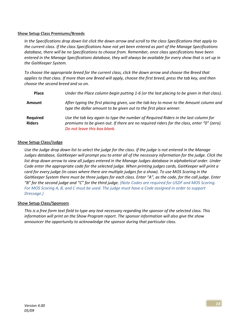## Show Setup Class Premiums/Breeds

In the Specifications drop down list click the down arrow and scroll to the class Specifications that apply to the current class. If the class Specifications have not yet been entered as part of the Manage Specifications database, there will be no Specifications to choose from. Remember, once class specifications have been entered in the Manage Specifications database, they will always be available for every show that is set up in the GaitKeeper System.

To choose the appropriate breed for the current class, click the down arrow and choose the Breed that applies to that class. If more than one Breed will apply, choose the first breed, press the tab key, and then choose the second breed and so on.

| <b>Place</b>              | Under the Place column begin putting 1-6 (or the last placing to be given in that class).                                                                                                                        |
|---------------------------|------------------------------------------------------------------------------------------------------------------------------------------------------------------------------------------------------------------|
| Amount                    | After typing the first placing given, use the tab key to move to the Amount column and<br>type the dollar amount to be given out to the first place winner.                                                      |
| Required<br><b>Riders</b> | Use the tab key again to type the number of Required Riders in the last column for<br>premiums to be given out. If there are no required riders for the class, enter "0" (zero).<br>Do not leave this box blank. |

## Show Setup Class/Judge

Use the Judge drop down list to select the judge for the class. If the judge is not entered in the Manage Judges database, GaitKeeper will prompt you to enter all of the necessary information for the judge. Click the list drop down arrow to view all judges entered in the Manage Judges database in alphabetical order. Under Code enter the appropriate code for the selected judge. When printing judges cards, GaitKeeper will print a card for every judge (in cases where there are multiple judges for a show). To use MOS Scoring in the GaitKeeper System there must be three judges for each class. Enter "A", as the code, for the call judge. Enter "B" for the second judge and "C" for the third judge. (Note Codes are required for USDF and MOS Scoring. For MOS Scoring A, B, and C must be used. The judge must have a Code assigned in order to support Dressage.)

## Show Setup Class/Sponsors

This is a free form text field to type any text necessary regarding the sponsor of the selected class. This information will print on the Show Program report. The sponsor information will also give the show announcer the opportunity to acknowledge the sponsor during that particular class.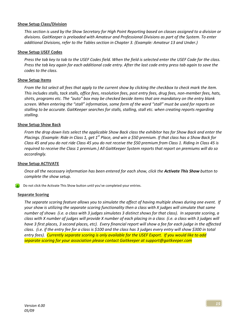#### Show Setup Class/Division

This section is used by the Show Secretary for High Point Reporting based on classes assigned to a division or divisions. GaitKeeper is preloaded with Amateur and Professional Divisions as part of the System. To enter additional Divisions, refer to the Tables section in Chapter 3. (Example: Amateur 13 and Under.)

#### Show Setup USEF Codes

Press the tab key to tab to the USEF Codes field. When the field is selected enter the USEF Code for the class. Press the tab key again for each additional code entry. After the last code entry press tab again to save the codes to the class.

#### Show Setup Items

From the list select all fees that apply to the current show by clicking the checkbox to check mark the item. This includes stalls, tack stalls, office fees, resolution fees, post entry fees, drug fees, non-member fees, hats, shirts, programs etc. The "auto" box may be checked beside items that are mandatory on the entry blank screen. When entering the "stall" information, some form of the word "stall" must be used for reports on stalling to be accurate. GaitKeeper searches for stalls, stalling, stall etc. when creating reports regarding stalling.

#### Show Setup Show Back

From the drop down lists select the applicable Show Back class the exhibitor has for Show Back and enter the Placings. (Example: Ride in Class 1, get  $1^{st}$  Place, and win a \$50 premium. If that class has a Show Back for Class 45 and you do not ride Class 45 you do not receive the \$50 premium from Class 1. Riding in Class 45 is required to receive the Class 1 premium.) All GaitKeeper System reports that report on premiums will do so accordingly.

## Show Setup ACTIVATE

Once all the necessary information has been entered for each show, click the **Activate This Show** button to complete the show setup.

Do not click the Activate This Show button until you've completed your entries.

#### Separate Scoring

The separate scoring feature allows you to simulate the affect of having multiple shows during one event. If your show is utilizing the separate scoring functionality then a class with X judges will simulate that same number of shows (i.e. a class with 3 judges simulates 3 distinct shows for that class). In separate scoring, a class with X number of judges will provide X number of each placing in a class (i.e. a class with 3 judges will have 3 first places, 3 second places, etc). Every financial report will show a fee for each judge in the affected class. (i.e. if the entry fee for a class is \$100 and the class has 3 judges every entry will show \$300 in total entry fees). Currently separate scoring is only available for the USEF Export. If you would like to add separate scoring for your association please contact Gaitkeeper at support@gaitkeeper.com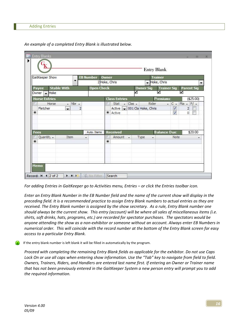|   | GaitKeeper Show                                                    | ▼                                       |                | <b>EB Number</b>  | Owner | 2 Hoke, Chris                                    |        |           |                  | <b>Trainer</b><br>Hoke, Chris |                               |                                                | ۰         |
|---|--------------------------------------------------------------------|-----------------------------------------|----------------|-------------------|-------|--------------------------------------------------|--------|-----------|------------------|-------------------------------|-------------------------------|------------------------------------------------|-----------|
|   | <b>Stable With</b><br>Payee<br>$\blacktriangleright$ Hoke<br>Owner |                                         |                | <b>Open Check</b> |       |                                                  |        | ✓         | <b>Owner Sig</b> | <b>Trainer Sig</b><br>⊽       |                               | <b>Parent Sig</b><br>▽                         |           |
|   | <b>Horse Entries</b>                                               |                                         |                |                   |       | <b>Class Entries</b>                             |        |           |                  | Premiums:                     |                               |                                                | (\$25.00) |
| ₩ | Horse<br>Fletcher                                                  | $-$ Nbr $-$<br>$\overline{\phantom{a}}$ | $\overline{2}$ |                   |       | Stat<br>Active v 001 Cla Hoke, Chris<br>* Active | $-1$   | $Class -$ | Rider            |                               | $ C -$<br>V<br>$\overline{J}$ | $Pla - Pl -$<br>$\overline{2}$<br>$\mathbf{0}$ | m         |
|   | Fees                                                               |                                         |                | Auto, Items       |       | <b>Received</b>                                  |        |           |                  | <b>Balance Due:</b>           |                               |                                                | \$20.00   |
| ₩ | Quantity -                                                         | Item                                    | ÷              |                   | ₩     | Amount                                           | $\sim$ | Type      | ٠                |                               | Note                          |                                                | ×         |

An example of a completed Entry Blank is illustrated below.

For adding Entries in GaitKeeper go to Activities menu, Entries – or click the Entries toolbar icon.

Enter an Entry Blank Number in the EB Number field and the name of the current show will display in the preceding field. It is a recommended practice to assign Entry Blank numbers to actual entries as they are received. The Entry Blank number is assigned by the show secretary. As a rule, Entry Blank number one should always be the current show. This entry (account) will be where all sales of miscellaneous items (i.e. shirts, soft drinks, hats, programs, etc.) are recorded for spectator purchases. The spectators would be anyone attending the show as a non-exhibitor or someone without an account. Always enter EB Numbers in numerical order. This will coincide with the record number at the bottom of the Entry Blank screen for easy access to a particular Entry Blank.

If the entry blank number is left blank it will be filled in automatically by the program.

Proceed with completing the remaining Entry Blank fields as applicable for the exhibitor. Do not use Caps Lock On or use all caps when entering show information. Use the "Tab" key to navigate from field to field. Owners, Trainers, Riders, and Handlers are entered last name first. If entering an Owner or Trainer name that has not been previously entered in the GaitKeeper System a new person entry will prompt you to add the required information.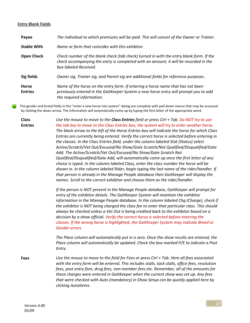#### Entry Blank Fields

Class Entries

| Payee                          | The individual to which premiums will be paid. This will consist of the Owner or Trainer.                                                                                                                |
|--------------------------------|----------------------------------------------------------------------------------------------------------------------------------------------------------------------------------------------------------|
| <b>Stable With</b>             | Name or farm that coincides with this exhibitor.                                                                                                                                                         |
| <b>Open Check</b>              | Check number of the blank check (tab check) turned in with the entry blank form. If the<br>check accompanying the entry is completed with an amount, it will be recorded in the<br>hox labeled Received. |
| Sig fields                     | Owner sig, Trainer sig, and Parent sig are additional fields for reference purposes.                                                                                                                     |
| <b>Horse</b><br><b>Entries</b> | Name of the horse on the entry form. If entering a horse name that has not been<br>previously entered in the GaitKeeper System a new horse entry will prompt you to add<br>the required information.     |

The gender and breed fields in the "enter a new horse into system" dialog are complete with pull down menus that may be accessed by clicking the down arrow. The information will automatically come up by typing the first letter of the appropriate word.

Use the mouse to move to the Class Entries field or press Ctrl  $+$  Tab. Do NOT try to use the tab key to move to the Class Entries box, the system will try to enter another horse. The black arrow to the left of the Horse Entries box will indicate the horse for which Class Entries are currently being entered. Verify the correct horse is selected before entering in the classes. In the Class Entries field, under the column labeled Stat (Status) select Active/Scratch/Vet Out/Excused/No Show/Gate Scratch/Not Qualified/Disqualified/Gate Add. The Active/Scratch/Vet Out/Excused/No Show/Gate Scratch Not Qualified/Disqualified/Gate Add, will automatically come up once the first letter of any choice is typed. In the column labeled Class, enter the class number the horse will be shown in. In the column labeled Rider, begin typing the last name of the rider/handler. If that person is already in the Manage People database then GaitKeeper will display the names. Scroll to the correct exhibitor and choose them as the rider/handler.

> If the person is NOT present in the Manage People database, GaitKeeper will prompt for entry of the exhibitor details. The GaitKeeper System will maintain the exhibitor information in the Manage People database. In the column labeled Chg (Charge), check if the exhibitor is NOT being charged the class fee to enter that particular class. This should always be checked unless a Vet Out is being credited back to the exhibitor based on a decision by a show official. Verify the correct horse is selected before entering the classes. If the wrong horse is highlighted, the GaitKeeper System may indicate Breed or Gender errors.

> The Place column will automatically put in a zero. Once the show results are entered, the Place column will automatically be updated. Check the box marked P/E to indicate a Post Entry.

Fees Use the mouse to move to the field for Fees or press Ctrl + Tab. Here all fees associated with the entry form will be entered. This includes stalls, tack stalls, office fees, resolution fees, post entry fees, drug fees, non-member fees etc. Remember, all of the amounts for these charges were entered in GaitKeeper when the current show was set up. Any fees that were checked with Auto (mandatory) in Show Setup can be quickly applied here by clicking AutoItems.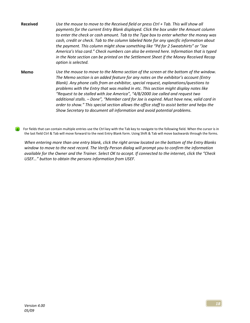Received Use the mouse to move to the Received field or press Ctrl + Tab. This will show all payments for the current Entry Blank displayed. Click the box under the Amount column to enter the check or cash amount. Tab to the Type box to enter whether the money was cash, credit or check. Tab to the column labeled Note for any specific information about the payment. This column might show something like "Pd for 2 Sweatshirts" or "Joe America's Visa card." Check numbers can also be entered here. Information that is typed in the Note section can be printed on the Settlement Sheet if the Money Received Recap option is selected.

Memo Use the mouse to move to the Memo section of the screen at the bottom of the window. The Memo section is an added feature for any notes on the exhibitor's account (Entry Blank). Any phone calls from an exhibitor, special request, explanations/questions to problems with the Entry that was mailed in etc. This section might display notes like "Request to be stalled with Joe America", "4/8/2000 Joe called and request two additional stalls. – Done", "Member card for Joe is expired. Must have new, valid card in order to show." This special section allows the office staff to assist better and helps the Show Secretary to document all information and avoid potential problems.

For fields that can contain multiple entries use the Ctrl key with the Tab key to navigate to the following field. When the cursor is in the last field Ctrl & Tab will move forward to the next Entry Blank form. Using Shift & Tab will move backwards through the forms.

When entering more than one entry blank, click the right arrow located on the bottom of the Entry Blanks window to move to the next record. The Verify Person dialog will prompt you to confirm the information available for the Owner and the Trainer. Select OK to accept. If connected to the internet, click the "Check USEF…" button to obtain the persons information from USEF.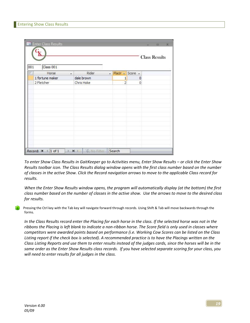| Class 001       |            |                          |                |                  |  |
|-----------------|------------|--------------------------|----------------|------------------|--|
| Horse<br>on.    | Rider      | $\overline{\phantom{a}}$ |                | Placin - Score - |  |
| 1 fortune maker | dale brown |                          | 1              | 0                |  |
| 2 Fletcher      | Chris Hoke |                          | $\overline{2}$ | $\circ$          |  |
|                 |            |                          |                |                  |  |
|                 |            |                          |                |                  |  |
|                 |            |                          |                |                  |  |
|                 |            |                          |                |                  |  |
|                 |            |                          |                |                  |  |

To enter Show Class Results in GaitKeeper go to Activities menu, Enter Show Results – or click the Enter Show Results toolbar icon. The Class Results dialog window opens with the first class number based on the number of classes in the active Show. Click the Record navigation arrows to move to the applicable Class record for results.

When the Enter Show Results window opens, the program will automatically display (at the bottom) the first class number based on the number of classes in the active show. Use the arrows to move to the desired class for results.

Pressing the Ctrl key with the Tab key will navigate forward through records. Using Shift & Tab will move backwards through the forms.

In the Class Results record enter the Placing for each horse in the class. If the selected horse was not in the ribbons the Placing is left blank to indicate a non-ribbon horse. The Score field is only used in classes where competitors were awarded points based on performance (i.e. Working Cow Scores can be listed on the Class Listing report if the check box is selected). A recommended practice is to have the Placings written on the Class Listing Reports and use them to enter results instead of the judges cards, since the horses will be in the same order as the Enter Show Results class records. If you have selected separate scoring for your class, you will need to enter results for all judges in the class.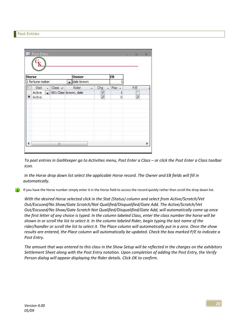## Post Entries

|        | <b>Horse</b>    |                          |            | <b>Owner</b>          |   |                                 | <b>EB</b>    |     |   |
|--------|-----------------|--------------------------|------------|-----------------------|---|---------------------------------|--------------|-----|---|
|        | 1 fortune maker |                          |            | dale brown            |   |                                 |              |     |   |
|        | Stat            | $\overline{\phantom{a}}$ | $Class -1$ | Rider                 | ٠ | Chg<br>$\overline{\phantom{a}}$ | Plac -       | P/E |   |
|        | Active          | $\overline{\phantom{a}}$ |            | 001 Class brown, dale |   | V                               | $\mathbf{1}$ |     |   |
| $\ast$ | Active          |                          |            |                       |   | V                               | 0            | V   |   |
|        |                 |                          |            |                       |   |                                 |              |     |   |
|        |                 |                          |            |                       |   |                                 |              |     |   |
|        |                 |                          |            |                       |   |                                 |              |     |   |
|        |                 |                          |            |                       |   |                                 |              |     |   |
|        |                 |                          |            |                       |   |                                 |              |     |   |
|        |                 |                          |            |                       |   |                                 |              |     |   |
|        |                 |                          | Ш          |                       |   |                                 |              |     | Þ |

To post entries in GaitKeeper go to Activities menu, Post Enter a Class – or click the Post Enter a Class toolbar icon.

In the Horse drop down list select the applicable Horse record. The Owner and EB fields will fill in automatically.

If you have the Horse number simply enter it in the Horse field to access the record quickly rather than scroll the drop down list.

With the desired Horse selected click in the Stat (Status) column and select from Active/Scratch/Vet Out/Excused/No Show/Gate Scratch/Not Qualified/Disqualified/Gate Add. The Active/Scratch/Vet Out/Excused/No Show/Gate Scratch Not Qualified/Disqualified/Gate Add, will automatically come up once the first letter of any choice is typed. In the column labeled Class, enter the class number the horse will be shown in or scroll the list to select it. In the column labeled Rider, begin typing the last name of the rider/handler or scroll the list to select it. The Place column will automatically put in a zero. Once the show results are entered, the Place column will automatically be updated. Check the box marked P/E to indicate a Post Entry.

The amount that was entered to this class in the Show Setup will be reflected in the charges on the exhibitors Settlement Sheet along with the Post Entry notation. Upon completion of adding the Post Entry, the Verify Person dialog will appear displaying the Rider details. Click OK to confirm.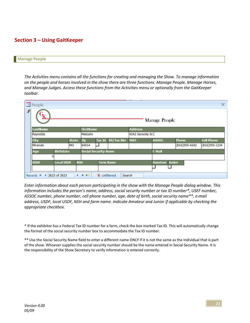# Section 3 – Using GaitKeeper

#### Manage People

The Activities menu contains all the functions for creating and managing the Show. To manage information on the people and horses involved in the show there are three functions: Manage People, Manage Horses, and Manage Judges. Access these functions from the Activities menu or optionally from the GaitKeeper toolbar.

|               | <b>B</b> People |                   |              |                             |                     |                   |                   |                       |                  | x                 |
|---------------|-----------------|-------------------|--------------|-----------------------------|---------------------|-------------------|-------------------|-----------------------|------------------|-------------------|
| $\mathscr{F}$ |                 |                   |              |                             |                     |                   |                   | Manage People         |                  |                   |
|               | <b>LastName</b> |                   |              | <b>FirstName</b>            |                     |                   | <b>Address</b>    |                       |                  |                   |
|               | Reynolds        |                   |              | Malcolm                     |                     |                   | 4242 Serenity Dr. |                       |                  |                   |
|               | <b>City</b>     |                   | <b>State</b> | <b>Zip</b>                  | <b>Tax Id</b>       | <b>SS/Tax Nbr</b> | <b>USEF</b>       | ASSOC.                | <b>Phone</b>     | <b>Cell Phone</b> |
|               | Miranda         |                   | <b>MO</b>    | 64014                       |                     |                   |                   |                       | $(816)$ 555-4242 | $(816)$ 555-1234  |
|               | Age             | <b>Birthdate</b>  |              | <b>Social Security Name</b> |                     |                   |                   | E-Mail                |                  |                   |
|               |                 |                   |              |                             |                     |                   |                   |                       |                  |                   |
|               | <b>USDF</b>     | <b>Local USDF</b> | <b>NSH</b>   |                             |                     | <b>Farm Name</b>  |                   | <b>Amateur Junior</b> |                  |                   |
|               |                 |                   |              |                             |                     |                   |                   |                       |                  |                   |
|               | Record: I       | 2623 of 2623      |              | <b>N 下限</b>                 | <b>K</b> Unfiltered | Search            |                   |                       |                  |                   |

Enter information about each person participating in the show with the Manage People dialog window. This information includes the person's name, address, social security number or tax ID number\*, USEF number, ASSOC number, phone number, cell phone number, age, date of birth, social security name\*\*, e-mail address, USDF, local USDF, NSH and farm name. Indicate Amateur and Junior if applicable by checking the appropriate checkbox.

\* If the exhibitor has a Federal Tax ID number for a farm, check the box marked Tax ID. This will automatically change the format of the social security number box to accommodate the Tax ID number.

\*\* Use the Social Security Name field to enter a different name ONLY if it is not the same as the individual that is part of the show. Whoever supplies the social security number should be the name entered in Social Security Name. It is the responsibility of the Show Secretary to verify information is entered correctly.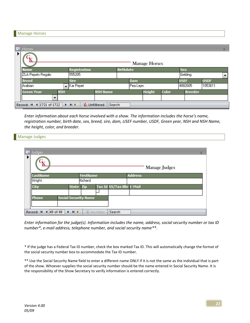## Manage Horses

|                   |                          |                     |                 |                  | <b>Manage Horses</b> |       |                |             |
|-------------------|--------------------------|---------------------|-----------------|------------------|----------------------|-------|----------------|-------------|
| <b>Name</b>       |                          | <b>Registration</b> |                 | <b>Birthdate</b> |                      |       | Sex            |             |
| ZLA Pepets Regalo |                          | 555205              |                 |                  |                      |       | Gelding        |             |
| <b>Breed</b>      |                          | <b>Sire</b>         |                 |                  | <b>Dam</b>           |       | <b>USEF</b>    | <b>USDF</b> |
| Arabian           | $\overline{\phantom{0}}$ | Kar Pepet           |                 |                  | Pea Leyn             |       | 4882605        | 1053611     |
| <b>Green Year</b> | <b>NSH</b>               |                     | <b>NSH Name</b> |                  | <b>Height</b>        | Color | <b>Breeder</b> |             |
|                   | $\overline{\phantom{a}}$ |                     |                 |                  |                      |       |                |             |

Enter information about each horse involved with a show. The information includes the horse's name, registration number, birth date, sex, breed, sire, dam, USEF number, USDF, Green year, NSH and NSH Name, the height, color, and breeder.

| Manage Judges |  |  |  |
|---------------|--|--|--|
|---------------|--|--|--|

|                 |                             |                  |                    |                          | <b>Manage Judges</b> |  |
|-----------------|-----------------------------|------------------|--------------------|--------------------------|----------------------|--|
| <b>LastName</b> |                             | <b>FirstName</b> |                    | <b>Address</b>           |                      |  |
| Wright          |                             | Richard          |                    |                          |                      |  |
| City            | <b>State</b>                | Zip              |                    | Tax Id SS/Tax Nbr E-Mail |                      |  |
|                 |                             |                  |                    |                          |                      |  |
| <b>Phone</b>    | <b>Social Security Name</b> |                  |                    |                          |                      |  |
|                 |                             |                  |                    |                          |                      |  |
| Record: 14      | 4 49 of 49<br>H<br>٠        |                  | <b>W No Filter</b> | Search                   |                      |  |

Enter information for the judge(s). Information includes the name, address, social security number or tax ID number\*, e-mail address, telephone number, and social security name\*\*.

\* If the judge has a Federal Tax ID number, check the box marked Tax ID. This will automatically change the format of the social security number box to accommodate the Tax ID number.

\*\* Use the Social Security Name field to enter a different name ONLY if it is not the same as the individual that is part of the show. Whoever supplies the social security number should be the name entered in Social Security Name. It is the responsibility of the Show Secretary to verify information is entered correctly.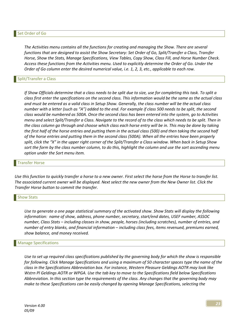#### Set Order of Go

The Activities menu contains all the functions for creating and managing the Show. There are several functions that are designed to assist the Show Secretary: Set Order of Go, Split/Transfer a Class, Transfer Horse, Show the Stats, Manage Specifications, View Tables, Copy Show, Class Fill, and Horse Number Check. Access these functions from the Activities menu. Used to explicitly determine the Order of Go. Under the Order of Go column enter the desired numerical value, i.e. 1, 2, 3, etc., applicable to each row.

#### Split/Transfer a Class

If Show Officials determine that a class needs to be split due to size, use for completing this task. To split a class first enter the specifications on the second class. This information would be the same as the actual class and must be entered as a valid class in Setup Show. Generally, the class number will be the actual class number with a letter (such as "A") added to the end. For example if class 500 needs to be split, the second class would be numbered as 500A. Once the second class has been entered into the system, go to Activities menu and select Split/Transfer a Class. Navigate to the record of to the class which needs to be split. Then in the class column go through and choose which class each horse entry will be in. This may be done by taking the first half of the horse entries and putting them in the actual class (500) and then taking the second half of the horse entries and putting them in the second class (500A). When all the entries have been properly split, click the "X" in the upper right corner of the Split/Transfer a Class window. When back in Setup Show sort the form by the class number column, to do this, highlight the column and use the sort ascending menu option under the Sort menu item.

#### Transfer Horse

Use this function to quickly transfer a horse to a new owner. First select the horse from the Horse to transfer list. The associated current owner will be displayed. Next select the new owner from the New Owner list. Click the Transfer Horse button to commit the transfer.

#### Show Stats

Use to generate a one page statistical summary of the activated show. Show Stats will display the following information: name of show, address, phone number, secretary, start/end dates, USEF number, ASSOC number, Class Stats – including classes in show, people, horses (including scratches), number of entries, and number of entry blanks, and financial information – including class fees, items revenued, premiums earned, show balance, and money received.

#### Manage Specifications

Use to set up required class specifications published by the governing body for which the show is responsible for following. Click Manage Specifications and using a maximum of 50 character spaces type the name of the class in the Specifications Abbreviation box. For instance, Western Pleasure Geldings AOTR may look like Wstrn Pl Geldings AOTR or WPGA. Use the tab key to move to the Specifications field below Specifications Abbreviation. In this section type the requirements of the class. Any changes that the governing body may make to these Specifications can be easily changed by opening Manage Specifications, selecting the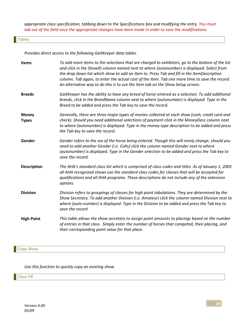appropriate class specification, tabbing down to the Specifications box and modifying the entry. You must tab out of the field once the appropriate changes have been made in order to save the modifications.

## **Tables**

Provides direct access to the following GaitKeeper data tables

| <b>Items</b>                 | To add more items to the selections that are charged to exhibitors, go to the bottom of the list<br>and click in the ShowID column named next to where (autonumber) is displayed. Select from<br>the drop down list which show to add an Item to. Press Tab and fill in the ItemDescription<br>column. Tab again, to enter the actual cost of the Item. Tab one more time to save the record.<br>An alternative way to do this is to use the Item tab on the Show Setup screen. |
|------------------------------|---------------------------------------------------------------------------------------------------------------------------------------------------------------------------------------------------------------------------------------------------------------------------------------------------------------------------------------------------------------------------------------------------------------------------------------------------------------------------------|
| <b>Breeds</b>                | GaitKeeper has the ability to have any breed of horse entered as a selection. To add additional<br>breeds, click in the BreedName column next to where (autonumber) is displayed. Type in the<br>Breed to be added and press the Tab key to save the record.                                                                                                                                                                                                                    |
| <b>Money</b><br><b>Types</b> | Generally, there are three major types of monies collected at each show (cash, credit card and<br>check). Should you need additional selections of payment click in the MoneyDesc column next<br>to where (autonumber) is displayed. Type in the money type description to be added and press<br>the Tab key to save the record.                                                                                                                                                |
| Gender                       | Gender refers to the sex of the horse being entered. Though this will rarely change, should you<br>need to add another Gender (i.e. Colts) click the column named Gender next to where<br>(autonumber) is displayed. Type in the Gender selection to be added and press the Tab key to<br>save the record.                                                                                                                                                                      |
| <b>Description</b>           | The AHA's standard class list which is comprised of class codes and titles. As of January 1, 2003<br>all AHA recognized shows use the standard class codes for classes that will be accepted for<br>qualifications and all AHA programs. These descriptions do not include any of the extension<br>options.                                                                                                                                                                     |
| <b>Division</b>              | Division refers to groupings of classes for high point tabulations. They are determined by the<br>Show Secretary. To add another Division (i.e. Amateur) click the column named Division next to<br>where (auto-number) is displayed. Type in the Division to be added and press the Tab key to<br>save the record                                                                                                                                                              |
| <b>High Point</b>            | This table allows the show secretary to assign point amounts to placings based on the number<br>of entries in that class. Simply enter the number of horses that competed, their placing, and<br>their corresponding point value for that place.                                                                                                                                                                                                                                |

**Copy Show** 

Use this function to quickly copy an existing show.

Class Fill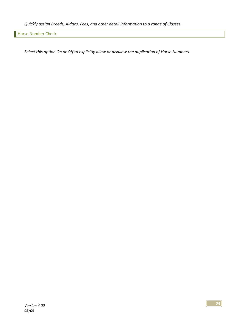Quickly assign Breeds, Judges, Fees, and other detail information to a range of Classes.

Horse Number Check

Select this option On or Off to explicitly allow or disallow the duplication of Horse Numbers.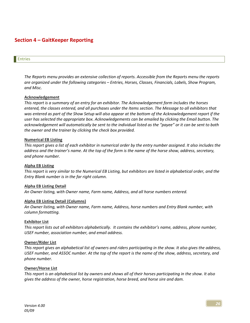# Section 4 – GaitKeeper Reporting

#### Entries

The Reports menu provides an extensive collection of reports. Accessible from the Reports menu the reports are organized under the following categories – Entries, Horses, Classes, Financials, Labels, Show Program, and Misc.

#### Acknowledgement

This report is a summary of an entry for an exhibitor. The Acknowledgement form includes the horses entered, the classes entered, and all purchases under the Items section. The Message to all exhibitors that was entered as part of the Show Setup will also appear at the bottom of the Acknowledgement report if the user has selected the appropriate box. Acknowledgements can be emailed by clicking the Email button. The acknowledgement will automatically be sent to the individual listed as the "payee" or it can be sent to both the owner and the trainer by clicking the check box provided.

#### Numerical EB Listing

This report gives a list of each exhibitor in numerical order by the entry number assigned. It also includes the address and the trainer's name. At the top of the form is the name of the horse show, address, secretary, and phone number.

#### Alpha EB Listing

This report is very similar to the Numerical EB Listing, but exhibitors are listed in alphabetical order, and the Entry Blank number is in the far right column.

#### Alpha EB Listing Detail

An Owner listing, with Owner name, Farm name, Address, and all horse numbers entered.

#### Alpha EB Listing Detail (Columns)

An Owner listing, with Owner name, Farm name, Address, horse numbers and Entry Blank number, with column formatting.

#### Exhibitor List

This report lists out all exhibitors alphabetically. It contains the exhibitor's name, address, phone number, USEF number, association number, and email address.

#### Owner/Rider List

This report gives an alphabetical list of owners and riders participating in the show. It also gives the address, USEF number, and ASSOC number. At the top of the report is the name of the show, address, secretary, and phone number.

#### Owner/Horse List

This report is an alphabetical list by owners and shows all of their horses participating in the show. It also gives the address of the owner, horse registration, horse breed, and horse sire and dam.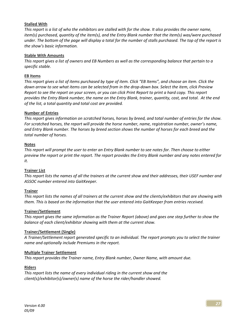## Stalled With

This report is a list of who the exhibitors are stalled with for the show. It also provides the owner name, item(s) purchased, quantity of the item(s), and the Entry Blank number that the item(s) was/were purchased under. The bottom of the page will display a total for the number of stalls purchased. The top of the report is the show's basic information.

## Stable With Amounts

This report gives a list of owners and EB Numbers as well as the corresponding balance that pertain to a specific stable.

## EB Items

This report gives a list of items purchased by type of item. Click "EB Items", and choose an item. Click the down arrow to see what items can be selected from in the drop-down box. Select the item, click Preview Report to see the report on your screen, or you can click Print Report to print a hard copy. This report provides the Entry Blank number, the name on the Entry Blank, trainer, quantity, cost, and total. At the end of the list, a total quantity and total cost are provided.

## Number of Entries

This report gives information on scratched horses, horses by breed, and total number of entries for the show. For scratched horses, the report will provide the horse number, name, registration number, owner's name, and Entry Blank number. The horses by breed section shows the number of horses for each breed and the total number of horses.

## Notes

This report will prompt the user to enter an Entry Blank number to see notes for. Then choose to either preview the report or print the report. The report provides the Entry Blank number and any notes entered for it.

## **Trainer List**

This report lists the names of all the trainers at the current show and their addresses, their USEF number and ASSOC number entered into GaitKeeper.

## Trainer

This report lists the names of all trainers at the current show and the clients/exhibitors that are showing with them. This is based on the information that the user entered into GaitKeeper from entries received.

## Trainer/Settlement

This report gives the same information as the Trainer Report (above) and goes one step further to show the balance of each client/exhibitor showing with them at the current show.

## Trainer/Settlement (Single)

A Trainer/Settlement report generated specific to an individual. The report prompts you to select the trainer name and optionally include Premiums in the report.

## Multiple Trainer Settlement

This report provides the Trainer name, Entry Blank number, Owner Name, with amount due.

## Riders

This report lists the name of every individual riding in the current show and the client(s)/exhibitor(s)/owner(s) name of the horse the rider/handler showed.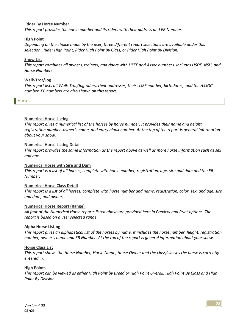#### Rider By Horse Number

This report provides the horse number and its riders with their address and EB Number.

## High Point

Depending on the choice made by the user, three different report selections are available under this selection…Rider High Point, Rider High Point By Class, or Rider High Point By Division.

## Show List

This report combines all owners, trainers, and riders with USEF and Assoc numbers. Includes USDF, NSH, and Horse Numbers

#### Walk-Trot/Jog

This report lists all Walk-Trot/Jog riders, their addresses, their USEF number, birthdates, and the ASSOC number. EB numbers are also shown on this report.

Horses

## Numerical Horse Listing

This report gives a numerical list of the horses by horse number. It provides their name and height, registration number, owner's name, and entry blank number. At the top of the report is general information about your show.

#### Numerical Horse Listing Detail

This report provides the same information as the report above as well as more horse information such as sex and age.

## Numerical Horse with Sire and Dam

This report is a list of all horses, complete with horse number, registration, age, sire and dam and the EB Number.

## Numerical Horse Class Detail

This report is a list of all horses, complete with horse number and name, registration, color, sex, and age, sire and dam, and owner.

## Numerical Horse Report (Range)

All four of the Numerical Horse reports listed above are provided here in Preview and Print options. The report is based on a user selected range.

#### Alpha Horse Listing

This report gives an alphabetical list of the horses by name. It includes the horse number, height, registration number, owner's name and EB Number. At the top of the report is general information about your show.

#### Horse Class List

This report shows the Horse Number, Horse Name, Horse Owner and the class/classes the horse is currently entered in.

#### High Points

This report can be viewed as either High Point by Breed or High Point Overall, High Point By Class and High Point By Division.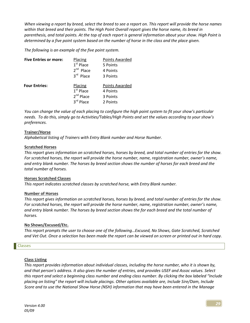When viewing a report by breed, select the breed to see a report on. This report will provide the horse names within that breed and their points. The High Point Overall report gives the horse name, its breed in parenthesis, and total points. At the top of each report is general information about your show. High Point is determined by a five point system based on the number of horse in the class and the place given.

The following is an example of the five point system.

| <b>Five Entries or more:</b> | Placing        | Points Awarded |
|------------------------------|----------------|----------------|
|                              | $1st$ Place    | 5 Points       |
|                              | $2nd$ Place    | 4 Points       |
|                              | $3rd$ Place    | 3 Points       |
| <b>Four Entries:</b>         | Placing        | Points Awarded |
|                              | $1st$ Place    | 4 Points       |
|                              | $2^{nd}$ Place | 3 Points       |
|                              | 3rd Place      | 2 Points       |

You can change the value of each placing to configure the high point system to fit your show's particular needs. To do this, simply go to Activities/Tables/High Points and set the values according to your show's preferences.

## Trainer/Horse

Alphabetical listing of Trainers with Entry Blank number and Horse Number.

## Scratched Horses

This report gives information on scratched horses, horses by breed, and total number of entries for the show. For scratched horses, the report will provide the horse number, name, registration number, owner's name, and entry blank number. The horses by breed section shows the number of horses for each breed and the total number of horses.

## Horses Scratched Classes

This report indicates scratched classes by scratched horse, with Entry Blank number.

## Number of Horses

This report gives information on scratched horses, horses by breed, and total number of entries for the show. For scratched horses, the report will provide the horse number, name, registration number, owner's name, and entry blank number. The horses by breed section shows the for each breed and the total number of horses.

## No Shows/Excused/Etc.

This report prompts the user to choose one of the following…Excused, No Shows, Gate Scratched, Scratched and Vet Out. Once a selection has been made the report can be viewed on screen or printed out in hard copy.

## Classes

## Class Listing

This report provides information about individual classes, including the horse number, who it is shown by, and that person's address. It also gives the number of entries, and provides USEF and Assoc values. Select this report and select a beginning class number and ending class number. By clicking the box labeled "Include placing on listing" the report will include placings. Other options available are, Include Sire/Dam, Include Score and to use the National Show Horse (NSH) information that may have been entered in the Manage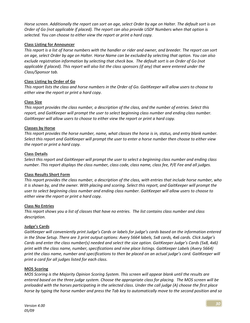Horse screen. Additionally the report can sort on age, select Order by age on Halter. The default sort is on Order of Go (not applicable if placed). The report can also provide USDF Numbers when that option is selected. You can choose to either view the report or print a hard copy.

## Class Listing for Announcer

This report is a list of horse numbers with the handler or rider and owner, and breeder. The report can sort on age, select Order by age on Halter. Horse Name can be excluded by selecting that option. You can also exclude registration information by selecting that check box. The default sort is on Order of Go (not applicable if placed). This report will also list the class sponsors (if any) that were entered under the Class/Sponsor tab.

## Class Listing by Order of Go

This report lists the class and horse numbers in the Order of Go. GaitKeeper will allow users to choose to either view the report or print a hard copy.

## Class Size

This report provides the class number, a description of the class, and the number of entries. Select this report, and GaitKeeper will prompt the user to select beginning class number and ending class number. GaitKeeper will allow users to choose to either view the report or print a hard copy.

## Classes by Horse

This report provides the horse number, name, what classes the horse is in, status, and entry blank number. Select this report and GaitKeeper will prompt the user to enter a horse number then choose to either view the report or print a hard copy.

## Class Details

Select this report and GaitKeeper will prompt the user to select a beginning class number and ending class number. This report displays the class number, class code, class name, class fee, P/E Fee and all judges.

## Class Results Short Form

This report provides the class number, a description of the class, with entries that include horse number, who it is shown by, and the owner. With placing and scoring. Select this report, and GaitKeeper will prompt the user to select beginning class number and ending class number. GaitKeeper will allow users to choose to either view the report or print a hard copy.

## Class No Entries

This report shows you a list of classes that have no entries. The list contains class number and class description.

## Judge's Cards

GaitKeeper will conveniently print Judge's Cards or labels for judge's cards based on the information entered in the Show Setup. There are 3 print output options: Avery 5664 labels, 5x8 cards, 4x6 cards. Click Judge's Cards and enter the class number(s) needed and select the size option. GaitKeeper Judge's Cards (5x8, 4x6) print with the class name, number, specifications and nine place listings. GaitKeeper Labels (Avery 5664) print the class name, number and specifications to then be placed on an actual judge's card. GaitKeeper will print a card for all judges listed for each class.

## MOS Scoring

MOS Scoring is the Majority Opinion Scoring System. This screen will appear blank until the results are entered based on the three judge system. Choose the appropriate class for placing. The MOS screen will be preloaded with the horses participating in the selected class. Under the call judge (A) choose the first place horse by typing the horse number and press the Tab key to automatically move to the second position and so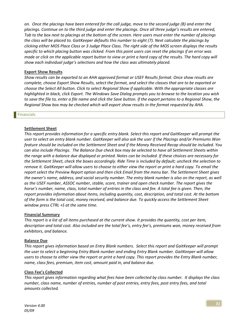on. Once the placings have been entered for the call judge, move to the second judge (B) and enter the placings. Continue on to the third judge and enter the placings. Once all three judge's results are entered, Tab to the box next to placings at the bottom of the screen. Here users must enter the number of placings the class will be placed to. GaitKeeper defaults this number to eight (7). Next calculate the placings by clicking either MOS Place Class or 3 Judge Place Class. The right side of the MOS screen displays the results specific to which placing button was clicked. From this point users can reset the placings if an error was made or click on the applicable report button to view or print a hard copy of the results. The hard copy will show each individual judge's selections and how the class was ultimately placed.

## Export Show Results

Show results can be exported to an AHA approved format or USEF Results format. Once show results are complete, choose Export Show Results, select the format, and select the classes that are to be exported or choose the Select All button. Click to select Regional Show if applicable. With the appropriate classes are highlighted in black, click Export. The Windows Save Dialog prompts you to browse to the location you wish to save the file to, enter a file name and click the Save button. If the export pertains to a Regional Show, the Regional Show box may be checked which will export show results in the format requested by AHA.

#### **Financials**

## Settlement Sheet

This report provides information for a specific entry blank. Select this report and GaitKeeper will prompt the user to select an entry blank number. GaitKeeper will also ask the user if the Placings and/or Premiums Won feature should be included on the Settlement Sheet and if the Money Received Recap should be included. You can also include Placings. The Balance Due check box may be selected to have all Settlement Sheets within the range with a balance due displayed or printed. Notes can be included. If these choices are necessary for the Settlement Sheet, check the boxes accordingly. Ride Time is included by default; uncheck the selection to remove it. GaitKeeper will allow users to choose to either view the report or print a hard copy. To email the report select the Preview Report option and then click Email from the menu bar. The Settlement Sheet gives the owner's name, address, and social security number. The entry blank number is also on the report, as well as the USEF number, ASSOC number, stable, score, trainer and open check number. The report gives the horse's number, name, class, total number of entries in the class and fee. A total fee is given. Then, the report provides information about items, including quantity, cost, description, and total cost. At the bottom of the form is the total cost, money received, and balance due. To quickly access the Settlement Sheet window press CTRL +S at the same time.

## Financial Summary

This report is a list of all items purchased at the current show. It provides the quantity, cost per item, description and total cost. Also included are the total fee's, entry fee's, premiums won, money received from exhibitors, and balance.

## Balance Due

This report gives information based on Entry Blank numbers. Select this report and GaitKeeper will prompt the user to select a beginning Entry Blank number and ending Entry Blank number. GaitKeeper will allow users to choose to either view the report or print a hard copy. This report provides the Entry Blank number, name, class fees, premium, item cost, amount paid in, and balance due.

## Class Fee's Collected

This report gives information regarding what fees have been collected by class number. It displays the class number, class name, number of entries, number of post entries, entry fees, post entry fees, and total amounts collected.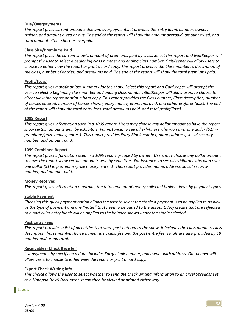## Due/Overpayments

This report gives current amounts due and overpayments. It provides the Entry Blank number, owner, trainer, and amount owed or due. The end of the report will show the amount overpaid, amount owed, and total amount either short or overpaid.

## Class Size/Premiums Paid

This report gives the current show's amount of premiums paid by class. Select this report and GaitKeeper will prompt the user to select a beginning class number and ending class number. GaitKeeper will allow users to choose to either view the report or print a hard copy. This report provides the Class number, a description of the class, number of entries, and premiums paid. The end of the report will show the total premiums paid.

## Profit/(Loss)

This report gives a profit or loss summary for the show. Select this report and GaitKeeper will prompt the user to select a beginning class number and ending class number. GaitKeeper will allow users to choose to either view the report or print a hard copy. This report provides the Class number, Class description, number of horses entered, number of horses shown, entry money, premiums paid, and either profit or (loss). The end of the report will show the total entry fees, total premiums paid, and total profit/(loss).

#### 1099 Report

This report gives information used in a 1099 report. Users may choose any dollar amount to have the report show certain amounts won by exhibitors. For instance, to see all exhibitors who won over one dollar (\$1) in premiums/prize money, enter 1. This report provides Entry Blank number, name, address, social security number, and amount paid.

#### 1099 Combined Report

This report gives information used in a 1099 report grouped by owner. Users may choose any dollar amount to have the report show certain amounts won by exhibitors. For instance, to see all exhibitors who won over one dollar (\$1) in premiums/prize money, enter 1. This report provides name, address, social security number, and amount paid.

## Money Received

This report gives information regarding the total amount of money collected broken down by payment types.

## Stable Payment

Choosing this quick payment option allows the user to select the stable a payment is to be applied to as well as the type of payment and any "notes" that need to be added to the account. Any credits that are reflected to a particular entry blank will be applied to the balance shown under the stable selected.

#### Post Entry Fees

This report provides a list of all entries that were post entered to the show. It includes the class number, class description, horse number, horse name, rider, class fee and the post entry fee. Totals are also provided by EB number and grand total.

#### Receivables (Check Register)

List payments by specifying a date. Includes Entry blank number, and owner with address. GaitKeeper will allow users to choose to either view the report or print a hard copy.

## Export Check Writing Info

This choice allows the user to select whether to send the check writing information to an Excel Spreadsheet or a Notepad (text) Document. It can then be viewed or printed either way.

#### Labels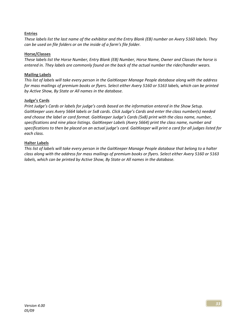## **Entries**

These labels list the last name of the exhibitor and the Entry Blank (EB) number on Avery 5160 labels. They can be used on file folders or on the inside of a farm's file folder.

## Horse/Classes

These labels list the Horse Number, Entry Blank (EB) Number, Horse Name, Owner and Classes the horse is entered in. They labels are commonly found on the back of the actual number the rider/handler wears.

## Mailing Labels

This list of labels will take every person in the GaitKeeper Manage People database along with the address for mass mailings of premium books or flyers. Select either Avery 5160 or 5163 labels, which can be printed by Active Show, By State or All names in the database.

## Judge's Cards

Print Judge's Cards or labels for judge's cards based on the information entered in the Show Setup. GaitKeeper uses Avery 5664 labels or 5x8 cards. Click Judge's Cards and enter the class number(s) needed and choose the label or card format. GaitKeeper Judge's Cards (5x8) print with the class name, number, specifications and nine place listings. GaitKeeper Labels (Avery 5664) print the class name, number and specifications to then be placed on an actual judge's card. GaitKeeper will print a card for all judges listed for each class.

## Halter Labels

This list of labels will take every person in the GaitKeeper Manage People database that belong to a halter class along with the address for mass mailings of premium books or flyers. Select either Avery 5160 or 5163 labels, which can be printed by Active Show, By State or All names in the database.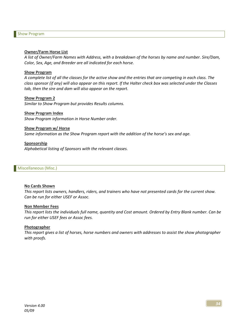#### Owner/Farm Horse List

A list of Owner/Farm Names with Address, with a breakdown of the horses by name and number. Sire/Dam, Color, Sex, Age, and Breeder are all indicated for each horse.

#### Show Program

A complete list of all the classes for the active show and the entries that are competing in each class. The class sponsor (if any) will also appear on this report. If the Halter check box was selected under the Classes tab, then the sire and dam will also appear on the report.

#### Show Program 2

Similar to Show Program but provides Results columns.

#### Show Program Index

Show Program information in Horse Number order.

#### Show Program w/ Horse

Same information as the Show Program report with the addition of the horse's sex and age.

#### Sponsorship

Alphabetical listing of Sponsors with the relevant classes.

#### Miscellaneous (Misc.)

#### No Cards Shown

This report lists owners, handlers, riders, and trainers who have not presented cards for the current show. Can be run for either USEF or Assoc.

#### Non Member Fees

This report lists the individuals full name, quantity and Cost amount. Ordered by Entry Blank number. Can be run for either USEF fees or Assoc fees.

#### Photographer

This report gives a list of horses, horse numbers and owners with addresses to assist the show photographer with proofs.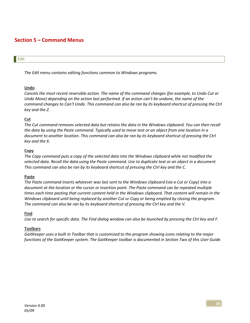# Section 5 – Command Menus

## **Edit**

The Edit menu contains editing functions common to Windows programs.

## Undo

Cancels the most recent reversible action. The name of the command changes (for example, to Undo Cut or Undo Move) depending on the action last performed. If an action can't be undone, the name of the command changes to Can't Undo. This command can also be ran by its keyboard shortcut of pressing the Ctrl key and the Z.

## Cut

The Cut command removes selected data but retains the data in the Windows clipboard. You can then recall the data by using the Paste command. Typically used to move text or an object from one location in a document to another location. This command can also be ran by its keyboard shortcut of pressing the Ctrl key and the X.

## Copy

The Copy command puts a copy of the selected data into the Windows clipboard while not modified the selected data. Recall the data using the Paste command. Use to duplicate text or an object in a document. This command can also be ran by its keyboard shortcut of pressing the Ctrl key and the C.

## Paste

The Paste command inserts whatever was last sent to the Windows clipboard (via a Cut or Copy) into a document at the location or the cursor or insertion point. The Paste command can be repeated multiple times each time pasting that current content held in the Windows clipboard. That content will remain in the Windows clipboard until being replaced by another Cut or Copy or being emptied by closing the program. The command can also be ran by its keyboard shortcut of pressing the Ctrl key and the V.

## Find

Use to search for specific data. The Find dialog window can also be launched by pressing the Ctrl key and F.

## **Toolbars**

GaitKeeper uses a built in Toolbar that is customized to the program showing icons relating to the major functions of the GaitKeeper system. The GaitKeeper toolbar is documented in Section Two of this User Guide.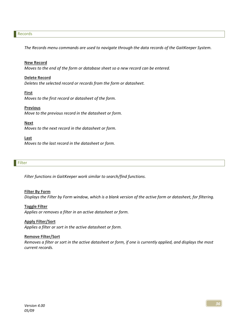#### Records

The Records menu commands are used to navigate through the data records of the GaitKeeper System.

#### New Record

Moves to the end of the form or database sheet so a new record can be entered.

#### Delete Record

Deletes the selected record or records from the form or datasheet.

#### **First**

Moves to the first record or datasheet of the form.

## **Previous**

Move to the previous record in the datasheet or form.

#### Next

Moves to the next record in the datasheet or form.

#### Last

Moves to the last record in the datasheet or form.

#### **Filter**

Filter functions in GaitKeeper work similar to search/find functions.

#### Filter By Form

Displays the Filter by Form window, which is a blank version of the active form or datasheet, for filtering.

#### Toggle Filter

Applies or removes a filter in an active datasheet or form.

#### Apply Filter/Sort

Applies a filter or sort in the active datasheet or form.

#### Remove Filter/Sort

Removes a filter or sort in the active datasheet or form, if one is currently applied, and displays the most current records.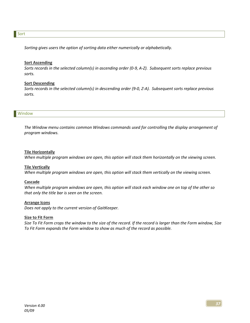#### Sort

Sorting gives users the option of sorting data either numerically or alphabetically.

#### **Sort Ascending**

Sorts records in the selected column(s) in ascending order (0-9, A-Z). Subsequent sorts replace previous sorts.

#### Sort Descending

Sorts records in the selected column(s) in descending order (9-0, Z-A). Subsequent sorts replace previous sorts.

#### Window

The Window menu contains common Windows commands used for controlling the display arrangement of program windows.

#### Tile Horizontally

When multiple program windows are open, this option will stack them horizontally on the viewing screen.

#### **Tile Vertically**

When multiple program windows are open, this option will stack them vertically on the viewing screen.

#### Cascade

When multiple program windows are open, this option will stack each window one on top of the other so that only the title bar is seen on the screen.

#### Arrange Icons

Does not apply to the current version of GaitKeeper.

#### **Size to Fit Form**

Size To Fit Form crops the window to the size of the record. If the record is larger than the Form window, Size To Fit Form expands the Form window to show as much of the record as possible.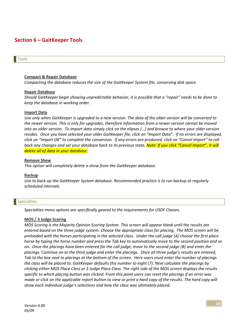# Section 6 – GaitKeeper Tools

#### Tools

#### Compact & Repair Database

Compacting the database reduces the size of the GaitKeeper System file, conserving disk space.

#### Repair Database

Should GaitKeeper begin showing unpredictable behavior, it is possible that a "repair" needs to be done to keep the database in working order.

#### Import Data

Use only when GaitKeeper is upgraded to a new version. The data of the older version will be converted to the newer version. This is only for upgrades, therefore information from a newer version cannot be moved into an older version. To import data simply click on the elipses (…) and browse to where your older version resides. Once you have selected your older Gaitkeeper file, click on "Import Data". If no errors are displayed, click on "Import OK" to complete the conversion. If any errors are produced, click on "Cancel Import" to roll back any changes and set your database back to its previous state. <mark>Note: If you click "Cancel Import", it will</mark> delete all of data in your database.

#### Remove Show

This option will completely delete a show from the GaitKeeper database.

## Backup

Use to back-up the GaitKeeper System database. Recommended practice is to run backup at regularly scheduled intervals.

#### **Specialties**

Specialties menu options are specifically geared to the requirements for USDF Classes.

## MOS / 3 Judge Scoring

MOS Scoring is the Majority Opinion Scoring System. This screen will appear blank until the results are entered based on the three judge system. Choose the appropriate class for placing. The MOS screen will be preloaded with the horses participating in the selected class. Under the call judge (A) choose the first place horse by typing the horse number and press the Tab key to automatically move to the second position and so on. Once the placings have been entered for the call judge, move to the second judge (B) and enter the placings. Continue on to the third judge and enter the placings. Once all three judge's results are entered, Tab to the box next to placings at the bottom of the screen. Here users must enter the number of placings the class will be placed to. GaitKeeper defaults this number to eight (7). Next calculate the placings by clicking either MOS Place Class or 3 Judge Place Class. The right side of the MOS screen displays the results specific to which placing button was clicked. From this point users can reset the placings if an error was made or click on the applicable report button to view or print a hard copy of the results. The hard copy will show each individual judge's selections and how the class was ultimately placed.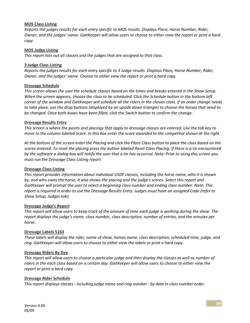## MOS Class Listing

Reports the judges results for each entry specific to MOS results. Displays Place, Horse Number, Rider, Owner, and the judges' name. GaitKeeper will allow users to choose to either view the report or print a hard copy.

## MOS Judge Listing

This report lists out all classes and the judges that are assigned to that class.

## 3 Judge Class Listing

Reports the judges results for each entry specific to 3 Judge results. Displays Place, Horse Number, Rider, Owner, and the judges' name. Choose to either view the report or print a hard copy.

## Dressage Schedule

This screen allows the user the schedule classes based on the times and breaks entered in the Show Setup. When the screen appears, choose the class to be scheduled. Click the Schedule button in the bottom left corner of the window and GaitKeeper will schedule all the riders in the chosen class. If an order change needs to take place, use the drop buttons (displayed by an upside down triangle) to choose the horses that need to be changed. Once both boxes have been filled, click the Switch button to confirm the change.

## Dressage Results Entry

This screen is where the points and placings that apply to dressage classes are entered. Use the tab key to move to the column labeled Score. In this box enter the score awarded to the competitor shown at the right.

At the bottom of the screen enter the Placing and click the Place Class button to place the class based on the scores entered. To reset the placing press the button labeled Reset Class Placing. If there is a tie encountered by the software a dialog box will notify the user that a tie has occurred. Note: Prior to using this screen you must run the Dressage Class Listing report.

## Dressage Class Listing

This report provides information about individual USDF classes, including the horse name, who it is shown by, and who owns the horse. It also shows the placing and the judge's scores. Select this report and GaitKeeper will prompt the user to select a beginning class number and ending class number. Note: This report is required in order to use the Dressage Results Entry. Judges must have an assigned Code (refer to Show Setup, Judges tab).

## Dressage Judge's Report

This report will allow users to keep track of the amount of time each judge is working during the show. The report displays the judge's name, class number, class description, number of entries, and the minutes per horse.

## Dressage Labels 5163

These labels will display the rider, name of show, horses name, class description, scheduled time, judge, and ring. GaitKeeper will allow users to choose to either view the labels or print a hard copy.

## Dressage Riders By Day

This report will allow users to choose a particular judge and then display the classes as well as number of riders in the each class based on a certain day. GaitKeeper will allow users to choose to either view the report or print a hard copy.

## Dressage Rider Schedule

This report displays classes - including judge name and ring number - by date in class number order.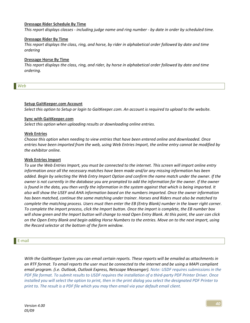#### Dressage Rider Schedule By Time

This report displays classes - including judge name and ring number - by date in order by scheduled time.

#### Dressage Rider By Time

This report displays the class, ring, and horse, by rider in alphabetical order followed by date and time ordering

#### Dressage Horse By Time

This report displays the class, ring, and rider, by horse in alphabetical order followed by date and time ordering.

Web

## Setup GaitKeeper.com Account

Select this option to Setup or login to GaitKeeper.com. An account is required to upload to the website.

#### Sync with GaitKeeper.com

Select this option when uploading results or downloading online entries.

#### Web Entries

Choose this option when needing to view entries that have been entered online and downloaded. Once entries have been imported from the web, using Web Entries Import, the online entry cannot be modified by the exhibitor online.

#### Web Entries Import

To use the Web Entries Import, you must be connected to the internet. This screen will import online entry information once all the necessary matches have been made and/or any missing information has been added. Begin by selecting the Web Entry Import Option and confirm the name match under the owner. If the owner is not currently in the database you are prompted to add the information for the owner. If the owner is found in the data, you then verify the information in the system against that which is being imported. It also will show the USEF and AHA information based on the numbers imported. Once the owner information has been matched, continue the same matching under trainer. Horses and Riders must also be matched to complete the matching process. Users must then enter the EB (Entry Blank) number in the lower right corner. To complete the import process, click the Import button. Once the import is complete, the EB number box will show green and the Import button will change to read Open Entry Blank. At this point, the user can click on the Open Entry Blank and begin adding Horse Numbers to the entries. Move on to the next import, using the Record selector at the bottom of the form window.

#### E-mail

With the GaitKeeper System you can email certain reports. These reports will be emailed as attachments in an RTF format. To email reports the user must be connected to the internet and be using a MAPI compliant email program. (i.e. Outlook, Outlook Express, Netscape Messenger). Note: USDF requires submissions in the PDF file format. To submit results to USDF requires the installation of a third-party PDF Printer Driver. Once installed you will select the option to print, then in the print dialog you select the designated PDF Printer to print to. The result is a PDF file which you may then email via your default email client.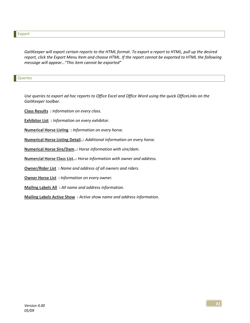GaitKeeper will export certain reports to the HTML format. To export a report to HTML, pull up the desired report, click the Export Menu Item and choose HTML. If the report cannot be exported to HTML the following message will appear…"This item cannot be exported"

#### Queries

Use queries to export ad hoc reports to Office Excel and Office Word using the quick OfficeLinks on the GaitKeeper toolbar.

Class Results : Information on every class.

**Exhibitor List** : Information on every exhibitor.

Numerical Horse Listing : Information on every horse.

Numerical Horse Listing Detail..: Additional information on every horse.

Numerical Horse Sire/Dam..: Horse information with sire/dam.

Numercial Horse Class List..: Horse information with owner and address.

Owner/Rider List: Name and address of all owners and riders.

Owner Horse List : Information on every owner.

Mailing Labels All : All name and address information.

Mailing Labels Active Show: Active show name and address information.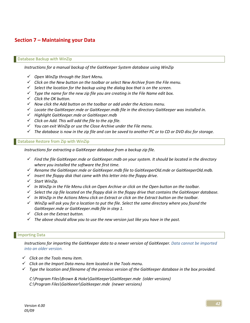# Section 7 – Maintaining your Data

#### Database Backup with WinZip

Instructions for a manual backup of the GaitKeeper System database using WinZip

- $\checkmark$  Open WinZip through the Start Menu.
- $\checkmark$  Click on the New button on the toolbar or select New Archive from the File menu.
- $\checkmark$  Select the location for the backup using the dialog box that is on the screen.
- $\checkmark$  Type the name for the new zip file you are creating in the File Name edit box.
- $\checkmark$  Click the OK button.
- $\checkmark$  Now click the Add button on the toolbar or add under the Actions menu.
- $\checkmark$  Locate the GaitKeeper.mde or GaitKeeper.mdb file in the directory GaitKeeper was installed in.
- $\checkmark$  Highlight GaitKeeper.mde or GaitKeeper.mdb
- $\checkmark$  Click on Add. This will add the file to the zip file.
- $\checkmark$  You can exit WinZip or use the Close Archive under the File menu.
- $\checkmark$  The database is now in the zip file and can be saved to another PC or to CD or DVD disc for storage.

Database Restore from Zip with WinZip

Instructions for extracting a GaitKeeper database from a backup zip file.

- $\checkmark$  Find the file GaitKeeper.mde or GaitKeeper.mdb on your system. It should be located in the directory where you installed the software the first time.
- Rename the GaitKeeper.mde or GaitKeeper.mdb file to GaitKeeperOld.mde or GaitKeeperOld.mdb.
- $\checkmark$  Insert the floppy disk that came with this letter into the floppy drive.
- $\checkmark$  Start WinZip.
- $\checkmark$  In WinZip in the File Menu click on Open Archive or click on the Open button on the toolbar.
- $\checkmark$  Select the zip file located on the floppy disk in the floppy drive that contains the GaitKeeper database.
- $\checkmark$  In WinZip in the Actions Menu click on Extract or click on the Extract button on the toolbar.
- $\checkmark$  WinZip will ask you for a location to put the file. Select the same directory where you found the GaitKeeper.mde or GaitKeeper.mdb file in step 1.
- $\checkmark$  Click on the Extract button.
- $\checkmark$  The above should allow you to use the new version just like you have in the past.

#### Importing Data

Instructions for importing the GaitKeeper data to a newer version of GaitKeeper. Data cannot be imported into an older version.

- $\checkmark$  Click on the Tools menu item.
- $\checkmark$  Click on the Import Data menu item located in the Tools menu.
- $\checkmark$  Type the location and filename of the previous version of the GaitKeeper database in the box provided.

C:\Program Files\Brown & Hoke\GaitKeeper\GaitKeeper.mde (older versions) C:\Program Files\Gaitkeeer\Gaitkeeper.mde (newer versions)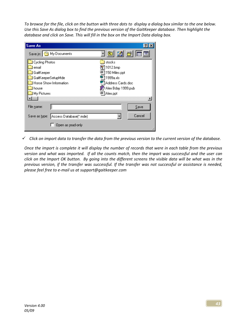To browse for the file, click on the button with three dots to display a dialog box similar to the one below. Use this Save As dialog box to find the previous version of the GaitKeeper database. Then highlight the database and click on Save. This will fill in the box on the Import Data dialog box.

| <b>Save As</b>                          |                    |
|-----------------------------------------|--------------------|
| Save in: Save in: Save in:              | <u>je de l</u>     |
| <b>Cycling Photos</b>                   | stocks             |
| email                                   | 1012.bmp           |
| GaitKeeper                              | 150 Miles.ppt      |
| GaitKeeperSetupMde                      | 1999a.xls          |
| Horse Show Information                  | Address Cards.doc  |
| house                                   | Alex Bday 1999.pub |
| My Pictures                             | 편]Alex.ppt         |
|                                         |                    |
| File name:                              | Save               |
| Access Database(".mde)<br>Save as type: | Cancel             |
| Open as read-only                       |                    |

 $\checkmark$  Click on import data to transfer the data from the previous version to the current version of the database.

Once the import is complete it will display the number of records that were in each table from the previous version and what was imported. If all the counts match, then the import was successful and the user can click on the Import OK button. By going into the different screens the visible data will be what was in the previous version, if the transfer was successful. If the transfer was not successful or assistance is needed, please feel free to e-mail us at support@gaitkeeper.com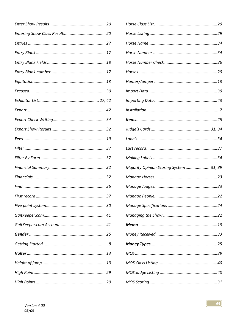| Majority Opinion Scoring System 31, 39 |
|----------------------------------------|
|                                        |
|                                        |
|                                        |
| Manage Specifications<br>. 24          |
|                                        |
|                                        |
|                                        |
|                                        |
|                                        |
|                                        |
|                                        |
|                                        |
|                                        |